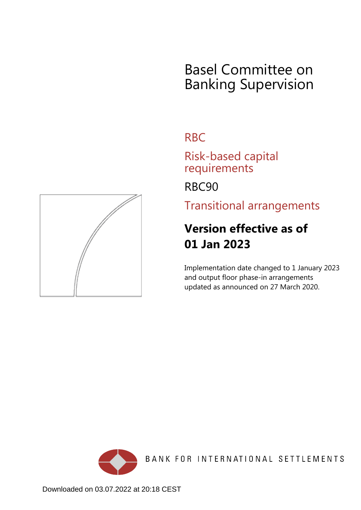## Basel Committee on Banking Supervision

## RBC

Risk-based capital requirements

RBC90

Transitional arrangements

## **Version effective as of 01 Jan 2023**

Implementation date changed to 1 January 2023 and output floor phase-in arrangements updated as announced on 27 March 2020.





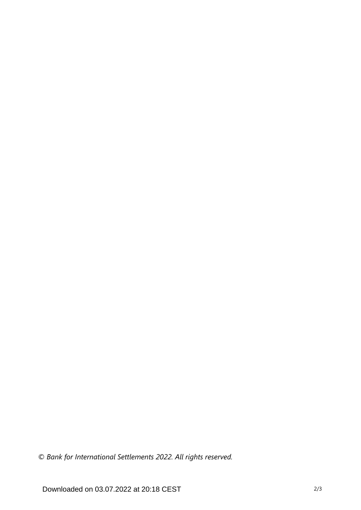*© Bank for International Settlements 2022. All rights reserved.*